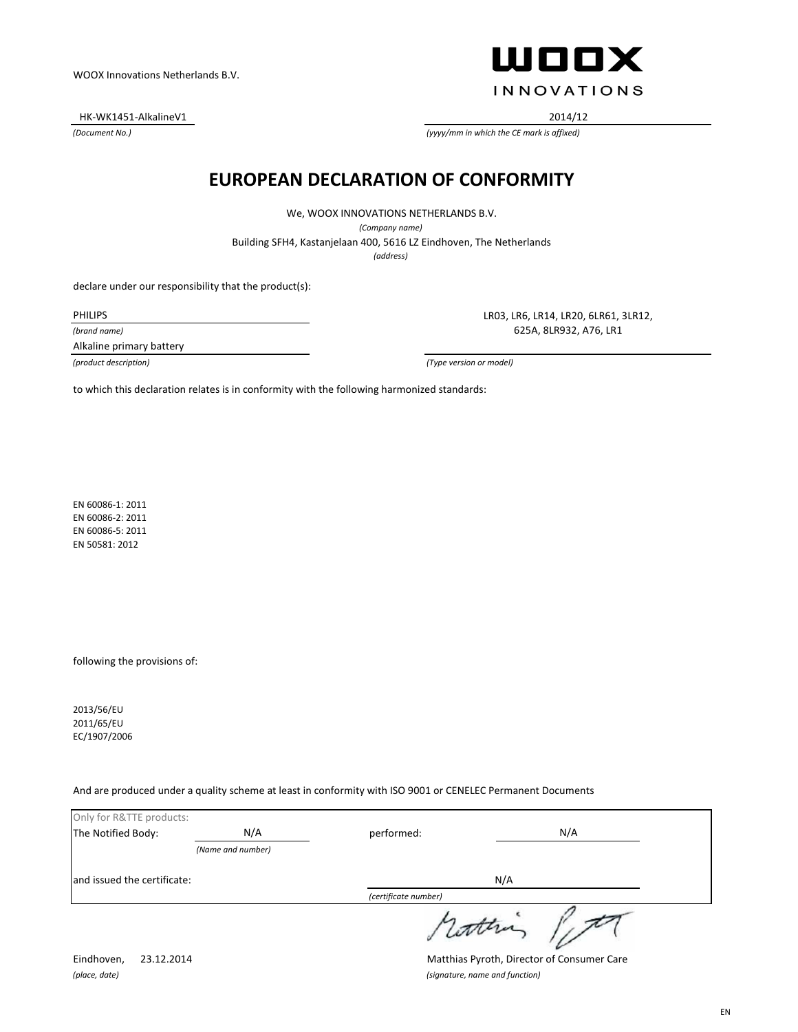HK-WK1451-AlkalineV1 2014/12

*(Document No.)*

ШООХ **INNOVATIONS** 

*(yyyy/mm in which the CE mark is affixed)*

#### **EUROPEAN DECLARATION OF CONFORMITY**

We, WOOX INNOVATIONS NETHERLANDS B.V. *(Company name)* Building SFH4, Kastanjelaan 400, 5616 LZ Eindhoven, The Netherlands *(address)*

declare under our responsibility that the product(s):

PHILIPS

*(brand name)*

Alkaline primary battery

LR03, LR6, LR14, LR20, 6LR61, 3LR12, 625A, 8LR932, A76, LR1

*(product description) (Type version or model)*

to which this declaration relates is in conformity with the following harmonized standards:

EN 60086-1: 2011 EN 60086-2: 2011 EN 60086-5: 2011 EN 50581: 2012

following the provisions of:

2013/56/EU 2011/65/EU EC/1907/2006

And are produced under a quality scheme at least in conformity with ISO 9001 or CENELEC Permanent Documents

| Only for R&TTE products:    |                   |                      |     |  |
|-----------------------------|-------------------|----------------------|-----|--|
| The Notified Body:          | N/A               | performed:           | N/A |  |
|                             | (Name and number) |                      |     |  |
| and issued the certificate: |                   |                      | N/A |  |
|                             |                   | (certificate number) |     |  |
|                             |                   |                      |     |  |

*(place, date) (signature, name and function)*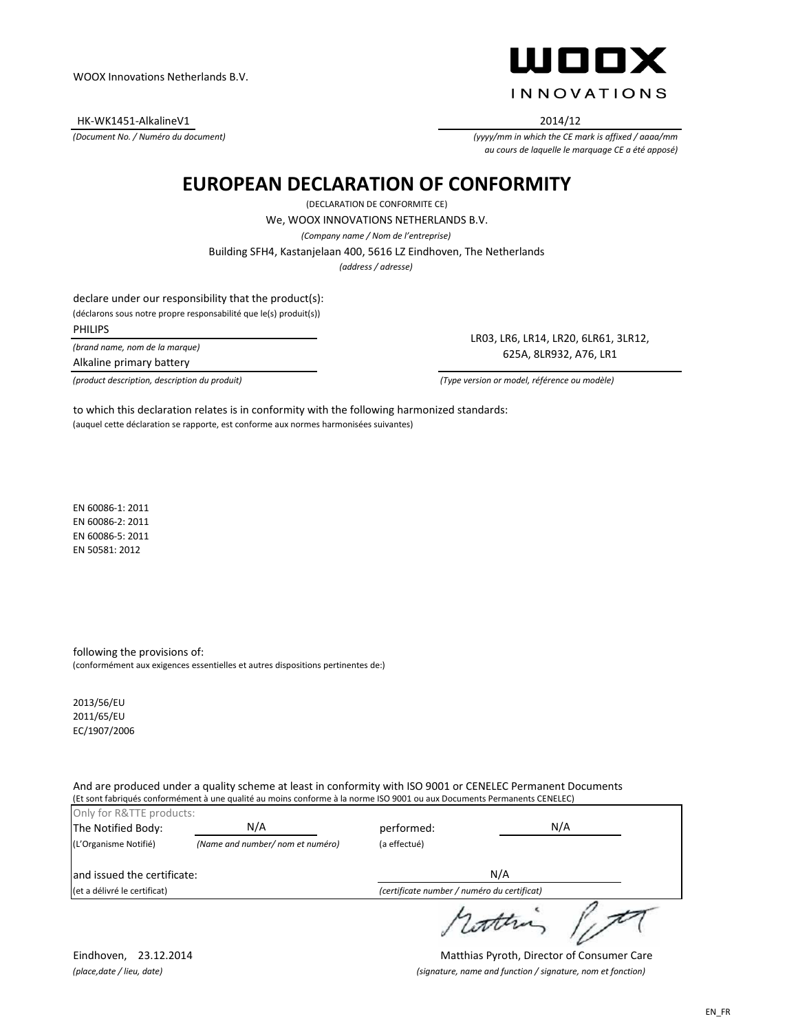HK-WK1451-AlkalineV1 2014/12

*(Document No. / Numéro du document)*



*(yyyy/mm in which the CE mark is affixed / aaaa/mm au cours de laquelle le marquage CE a été apposé)*

# **EUROPEAN DECLARATION OF CONFORMITY**

(DECLARATION DE CONFORMITE CE) *(address / adresse)* Building SFH4, Kastanjelaan 400, 5616 LZ Eindhoven, The Netherlands We, WOOX INNOVATIONS NETHERLANDS B.V. *(Company name / Nom de l'entreprise)*

declare under our responsibility that the product(s):

(déclarons sous notre propre responsabilité que le(s) produit(s))

PHILIPS

*(brand name, nom de la marque)*

Alkaline primary battery

*(product description, description du produit) (Type version or model, référence ou modèle)*

LR03, LR6, LR14, LR20, 6LR61, 3LR12, 625A, 8LR932, A76, LR1

(auquel cette déclaration se rapporte, est conforme aux normes harmonisées suivantes) to which this declaration relates is in conformity with the following harmonized standards:

EN 60086-1: 2011 EN 60086-2: 2011 EN 60086-5: 2011 EN 50581: 2012

following the provisions of: (conformément aux exigences essentielles et autres dispositions pertinentes de:)

2013/56/EU 2011/65/EU EC/1907/2006

And are produced under a quality scheme at least in conformity with ISO 9001 or CENELEC Permanent Documents (Et sont fabriqués conformément à une qualité au moins conforme à la norme ISO 9001 ou aux Documents Permanents CENELEC)

| Only for R&TTE products:<br>The Notified Body: | N/A                              | performed:   | N/A                                         |
|------------------------------------------------|----------------------------------|--------------|---------------------------------------------|
| (L'Organisme Notifié)                          | (Name and number/ nom et numéro) | (a effectué) |                                             |
| land issued the certificate:                   |                                  |              | N/A                                         |
| (et a délivré le certificat)                   |                                  |              | (certificate number / numéro du certificat) |
|                                                |                                  |              |                                             |

Eindhoven, 23.12.2014 Matthias Pyroth, Director of Consumer Care *(place,date / lieu, date) (signature, name and function / signature, nom et fonction)*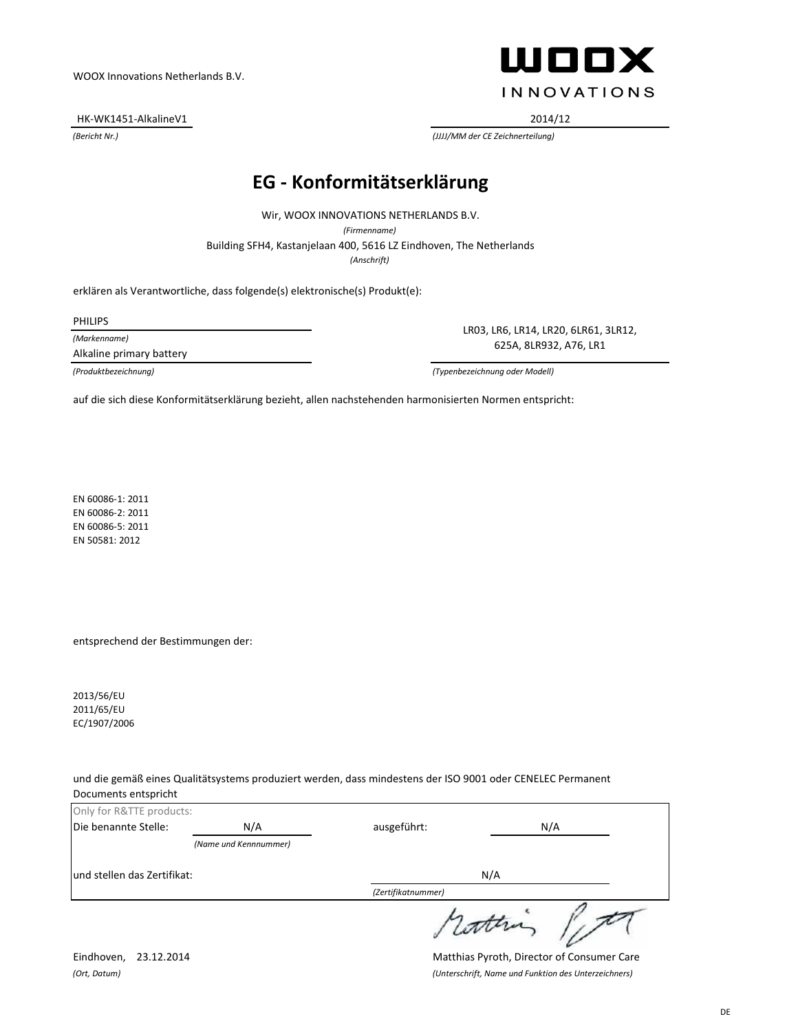HK-WK1451-AlkalineV1 2014/12



*(Bericht Nr.) (JJJJ/MM der CE Zeichnerteilung)*

# **EG - Konformitätserklärung**

*(Anschrift)* Building SFH4, Kastanjelaan 400, 5616 LZ Eindhoven, The Netherlands Wir, WOOX INNOVATIONS NETHERLANDS B.V. *(Firmenname)*

erklären als Verantwortliche, dass folgende(s) elektronische(s) Produkt(e):

PHILIPS

*(Markenname)*

Alkaline primary battery

LR03, LR6, LR14, LR20, 6LR61, 3LR12, 625A, 8LR932, A76, LR1

*(Produktbezeichnung) (Typenbezeichnung oder Modell)*

auf die sich diese Konformitätserklärung bezieht, allen nachstehenden harmonisierten Normen entspricht:

EN 60086-1: 2011 EN 60086-2: 2011 EN 60086-5: 2011 EN 50581: 2012

entsprechend der Bestimmungen der:

2013/56/EU 2011/65/EU EC/1907/2006

und die gemäß eines Qualitätsystems produziert werden, dass mindestens der ISO 9001 oder CENELEC Permanent Documents entspricht

| Only for R&TTE products:    |                       |                    |         |
|-----------------------------|-----------------------|--------------------|---------|
| Die benannte Stelle:        | N/A                   | ausgeführt:        | N/A     |
|                             | (Name und Kennnummer) |                    |         |
| und stellen das Zertifikat: |                       |                    | N/A     |
|                             |                       | (Zertifikatnummer) |         |
|                             |                       |                    | 1 comma |

Eindhoven, 23.12.2014 Matthias Pyroth, Director of Consumer Care *(Ort, Datum) (Unterschrift, Name und Funktion des Unterzeichners)*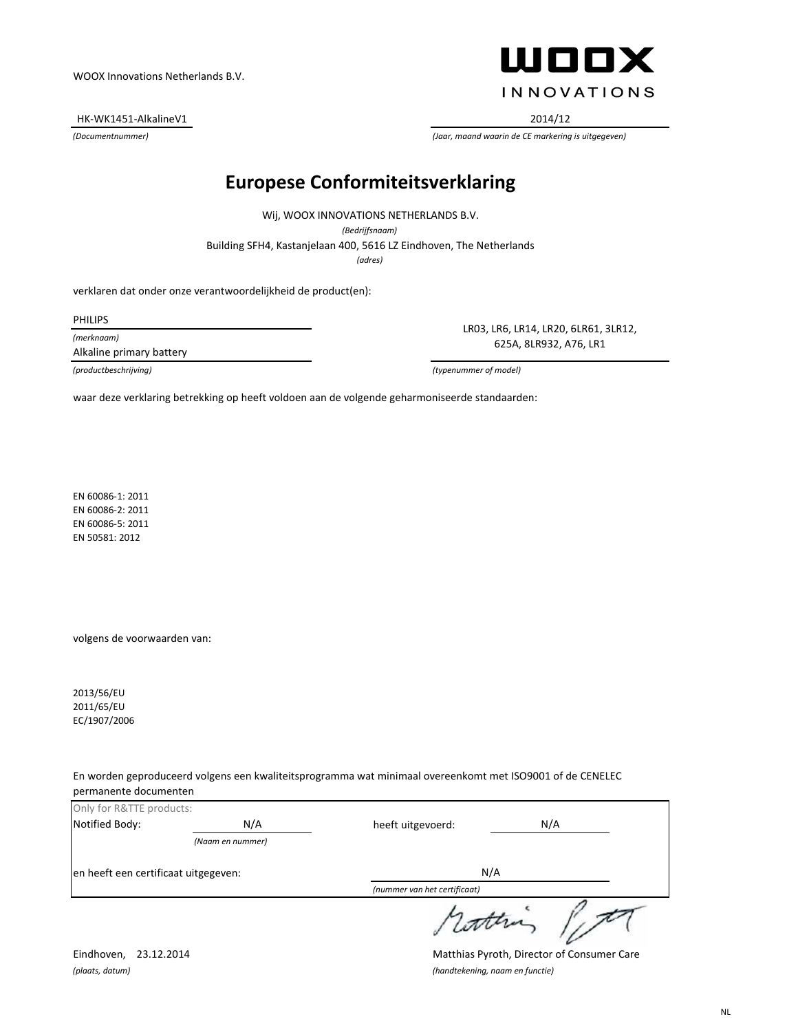HK-WK1451-AlkalineV1 2014/12



*(Documentnummer) (Jaar, maand waarin de CE markering is uitgegeven)*

# **Europese Conformiteitsverklaring**

Building SFH4, Kastanjelaan 400, 5616 LZ Eindhoven, The Netherlands Wij, WOOX INNOVATIONS NETHERLANDS B.V. *(Bedrijfsnaam) (adres)*

verklaren dat onder onze verantwoordelijkheid de product(en):

PHILIPS

*(merknaam)*

Alkaline primary battery

LR03, LR6, LR14, LR20, 6LR61, 3LR12, 625A, 8LR932, A76, LR1

*(productbeschrijving) (typenummer of model)*

waar deze verklaring betrekking op heeft voldoen aan de volgende geharmoniseerde standaarden:

EN 60086-1: 2011 EN 60086-2: 2011 EN 60086-5: 2011 EN 50581: 2012

volgens de voorwaarden van:

2013/56/EU 2011/65/EU EC/1907/2006

En worden geproduceerd volgens een kwaliteitsprogramma wat minimaal overeenkomt met ISO9001 of de CENELEC permanente documenten

| Only for R&TTE products:             |                          |                              |     |
|--------------------------------------|--------------------------|------------------------------|-----|
| Notified Body:                       | N/A<br>heeft uitgevoerd: |                              | N/A |
|                                      | (Naam en nummer)         |                              |     |
| en heeft een certificaat uitgegeven: |                          | N/A                          |     |
|                                      |                          | (nummer van het certificaat) |     |
|                                      |                          |                              |     |

Eindhoven, 23.12.2014 Matthias Pyroth, Director of Consumer Care *(plaats, datum) (handtekening, naam en functie)*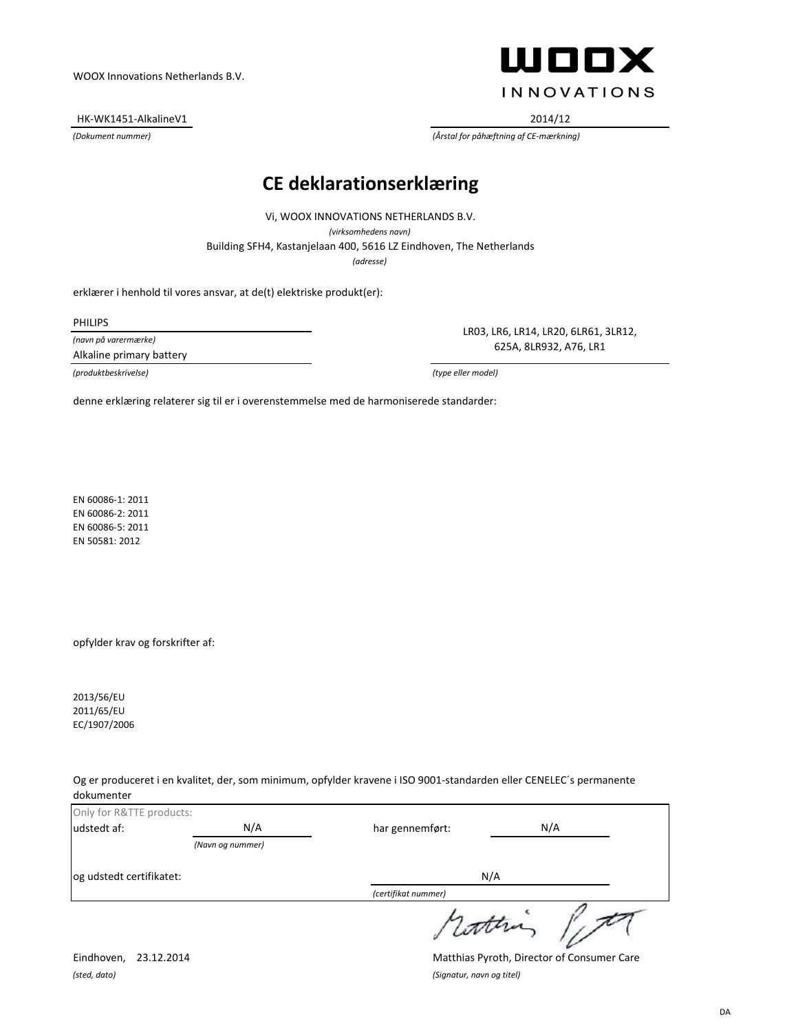HK-WK1451-AlkalineV1 2014/12



*(Dokument nummer) (Årstal for påhæftning af CE-mærkning)*

#### **CE deklarationserklæring**

*(adresse)* Building SFH4, Kastanjelaan 400, 5616 LZ Eindhoven, The Netherlands Vi, WOOX INNOVATIONS NETHERLANDS B.V. *(virksomhedens navn)*

erklærer i henhold til vores ansvar, at de(t) elektriske produkt(er):

PHILIPS

*(navn på varermærke)* Alkaline primary battery

*(produktbeskrivelse) (type eller model)*

LR03, LR6, LR14, LR20, 6LR61, 3LR12, 625A, 8LR932, A76, LR1

denne erklæring relaterer sig til er i overenstemmelse med de harmoniserede standarder:

EN 60086-1: 2011 EN 60086-2: 2011 EN 60086-5: 2011 EN 50581: 2012

opfylder krav og forskrifter af:

2013/56/EU 2011/65/EU EC/1907/2006

Og er produceret i en kvalitet, der, som minimum, opfylder kravene i ISO 9001-standarden eller CENELEC´s permanente dokumenter

| Only for R&TTE products: |                  |                     |     |
|--------------------------|------------------|---------------------|-----|
| udstedt af:              | N/A              | har gennemført:     | N/A |
|                          | (Navn og nummer) |                     |     |
| og udstedt certifikatet: |                  | N/A                 |     |
|                          |                  | (certifikat nummer) |     |
|                          |                  | sutting             |     |

*(sted, dato) (Signatur, navn og titel)*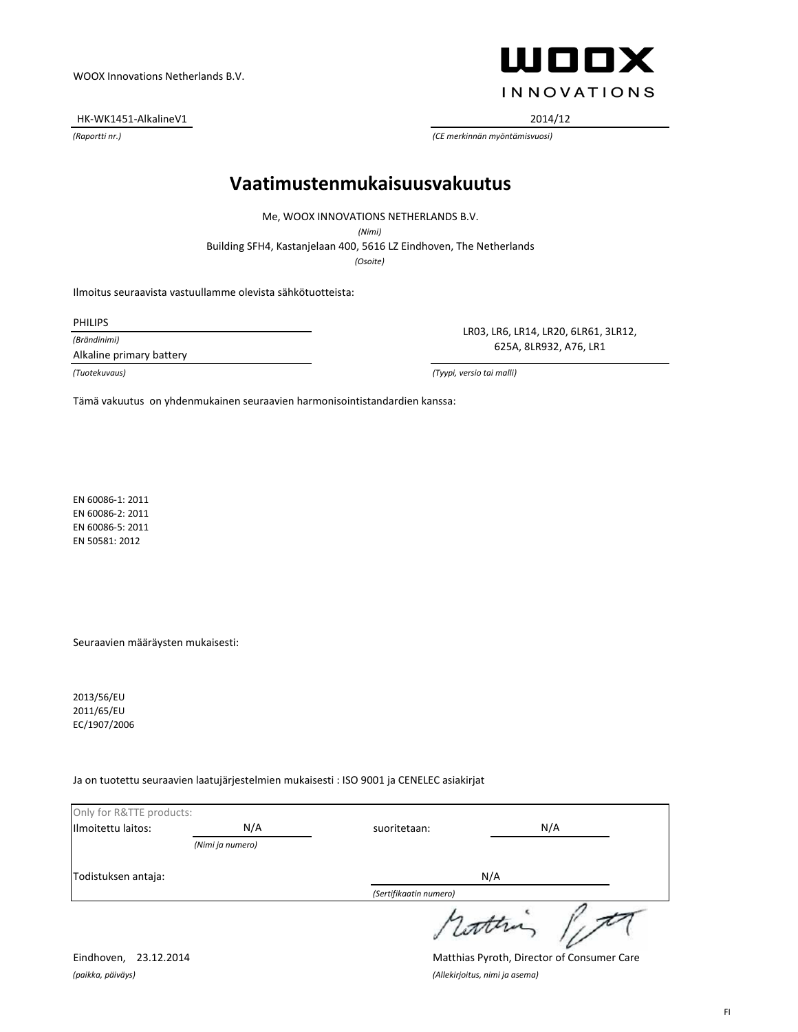HK-WK1451-AlkalineV1 2014/12

**WOOX INNOVATIONS** 

*(Raportti nr.) (CE merkinnän myöntämisvuosi)*

#### **Vaatimustenmukaisuusvakuutus**

Me, WOOX INNOVATIONS NETHERLANDS B.V.

*(Nimi)*

Building SFH4, Kastanjelaan 400, 5616 LZ Eindhoven, The Netherlands

*(Osoite)*

Ilmoitus seuraavista vastuullamme olevista sähkötuotteista:

PHILIPS

*(Brändinimi)*

Alkaline primary battery

LR03, LR6, LR14, LR20, 6LR61, 3LR12, 625A, 8LR932, A76, LR1

*(Tuotekuvaus) (Tyypi, versio tai malli)*

Tämä vakuutus on yhdenmukainen seuraavien harmonisointistandardien kanssa:

EN 60086-1: 2011 EN 60086-2: 2011 EN 60086-5: 2011 EN 50581: 2012

Seuraavien määräysten mukaisesti:

2013/56/EU 2011/65/EU EC/1907/2006

Ja on tuotettu seuraavien laatujärjestelmien mukaisesti : ISO 9001 ja CENELEC asiakirjat

| Only for R&TTE products: |                  |                        |     |
|--------------------------|------------------|------------------------|-----|
| Ilmoitettu laitos:       | N/A              | suoritetaan:           | N/A |
|                          | (Nimi ja numero) |                        |     |
| Todistuksen antaja:      |                  | N/A                    |     |
|                          |                  | (Sertifikaatin numero) |     |
|                          |                  | sconna                 |     |

Eindhoven, 23.12.2014 Matthias Pyroth, Director of Consumer Care *(paikka, päiväys) (Allekirjoitus, nimi ja asema)*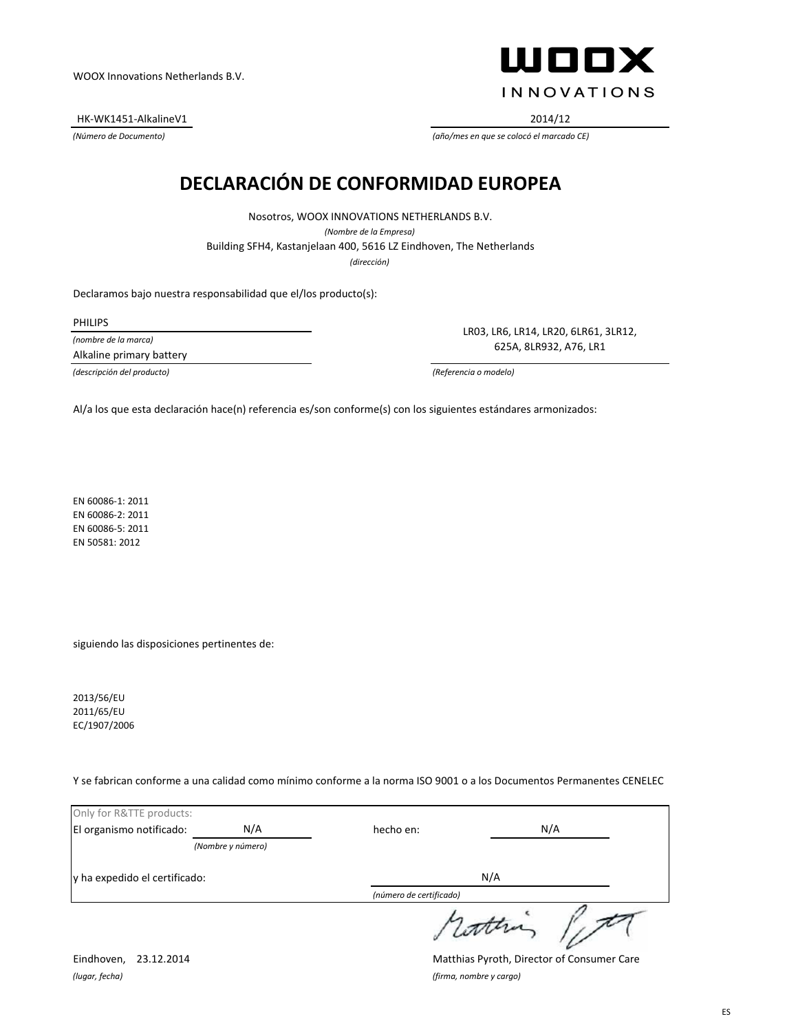HK-WK1451-AlkalineV1 2014/12

ШООХ **INNOVATIONS** 

*(Número de Documento) (año/mes en que se colocó el marcado CE)*

# **DECLARACIÓN DE CONFORMIDAD EUROPEA**

*(dirección)* Building SFH4, Kastanjelaan 400, 5616 LZ Eindhoven, The Netherlands Nosotros, WOOX INNOVATIONS NETHERLANDS B.V. *(Nombre de la Empresa)*

Declaramos bajo nuestra responsabilidad que el/los producto(s):

PHILIPS

*(nombre de la marca)* Alkaline primary battery

LR03, LR6, LR14, LR20, 6LR61, 3LR12, 625A, 8LR932, A76, LR1

*(descripción del producto) (Referencia o modelo)*

Al/a los que esta declaración hace(n) referencia es/son conforme(s) con los siguientes estándares armonizados:

EN 60086-1: 2011 EN 60086-2: 2011 EN 60086-5: 2011 EN 50581: 2012

siguiendo las disposiciones pertinentes de:

2013/56/EU 2011/65/EU EC/1907/2006

Y se fabrican conforme a una calidad como mínimo conforme a la norma ISO 9001 o a los Documentos Permanentes CENELEC

| Only for R&TTE products:      |                   |                         |     |
|-------------------------------|-------------------|-------------------------|-----|
| El organismo notificado:      | N/A               | hecho en:               | N/A |
|                               | (Nombre y número) |                         |     |
| y ha expedido el certificado: |                   | N/A                     |     |
|                               |                   | (número de certificado) |     |
|                               |                   |                         |     |

*(lugar, fecha) (firma, nombre y cargo)*

Eindhoven, 23.12.2014 Matthias Pyroth, Director of Consumer Care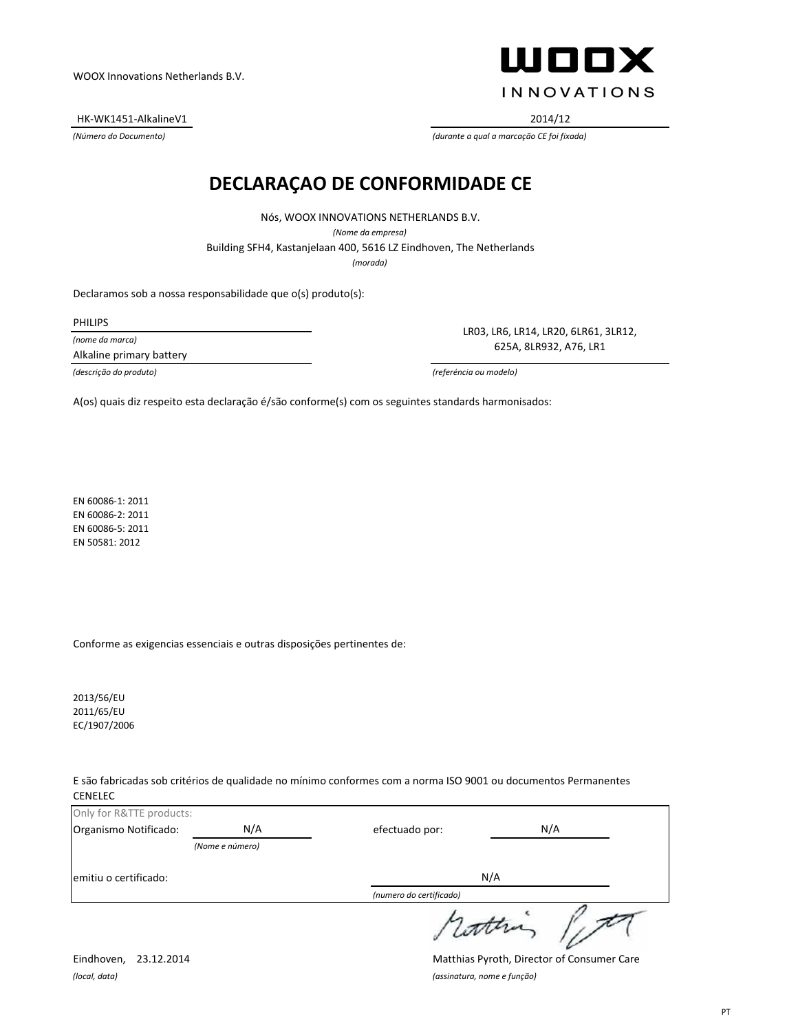HK-WK1451-AlkalineV1 2014/12

ШООХ **INNOVATIONS** 

*(Número do Documento) (durante a qual a marcação CE foi fixada)*

#### **DECLARAÇAO DE CONFORMIDADE CE**

Nós, WOOX INNOVATIONS NETHERLANDS B.V. *(Nome da empresa)* Building SFH4, Kastanjelaan 400, 5616 LZ Eindhoven, The Netherlands *(morada)*

Declaramos sob a nossa responsabilidade que o(s) produto(s):

PHILIPS

*(nome da marca)*

Alkaline primary battery

LR03, LR6, LR14, LR20, 6LR61, 3LR12, 625A, 8LR932, A76, LR1

*(descrição do produto) (referéncia ou modelo)*

A(os) quais diz respeito esta declaração é/são conforme(s) com os seguintes standards harmonisados:

EN 60086-1: 2011 EN 60086-2: 2011 EN 60086-5: 2011 EN 50581: 2012

Conforme as exigencias essenciais e outras disposições pertinentes de:

2013/56/EU 2011/65/EU EC/1907/2006

E são fabricadas sob critérios de qualidade no mínimo conformes com a norma ISO 9001 ou documentos Permanentes CENELEC

| Only for R&TTE products: |                 |                         |     |
|--------------------------|-----------------|-------------------------|-----|
| Organismo Notificado:    | N/A             | efectuado por:          | N/A |
|                          | (Nome e número) |                         |     |
| emitiu o certificado:    |                 | N/A                     |     |
|                          |                 | (numero do certificado) |     |
|                          |                 |                         |     |

*(local, data) (assinatura, nome e função)*

Eindhoven, 23.12.2014 Matthias Pyroth, Director of Consumer Care

 $\overline{\nu}$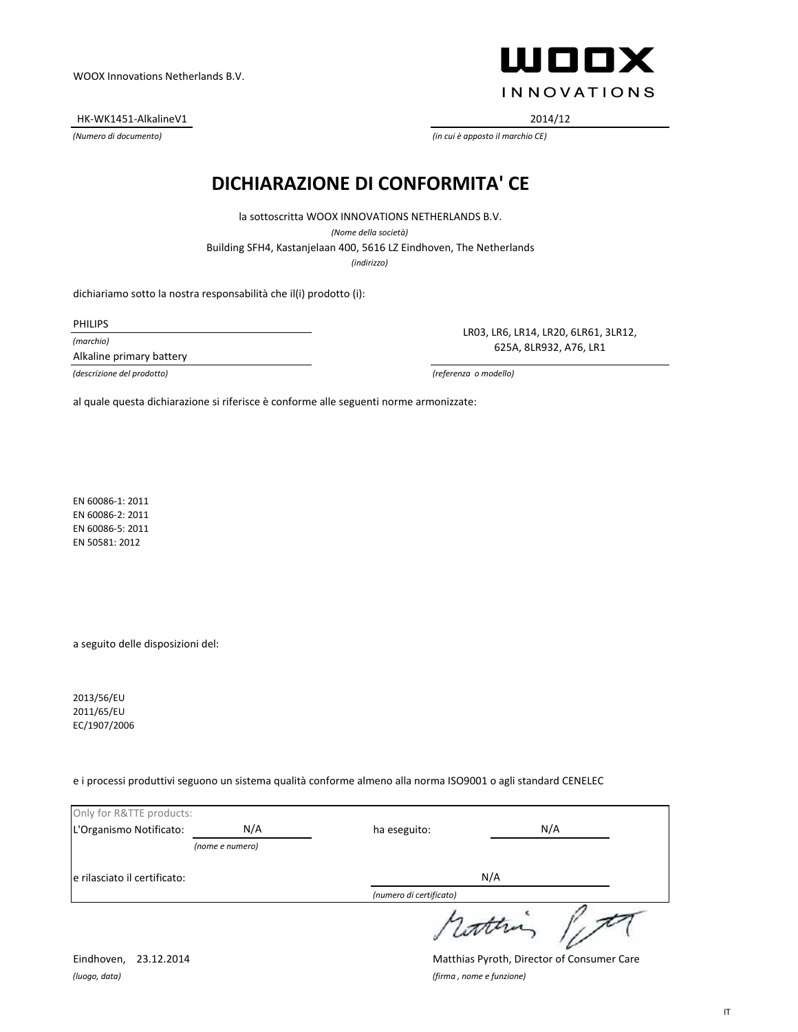HK-WK1451-AlkalineV1 2014/12

**WOOX INNOVATIONS** 

*(Numero di documento) (in cui è apposto il marchio CE)*

#### **DICHIARAZIONE DI CONFORMITA' CE**

*(indirizzo)* Building SFH4, Kastanjelaan 400, 5616 LZ Eindhoven, The Netherlands la sottoscritta WOOX INNOVATIONS NETHERLANDS B.V. *(Nome della società)*

dichiariamo sotto la nostra responsabilità che il(i) prodotto (i):

PHILIPS

*(marchio)*

Alkaline primary battery

LR03, LR6, LR14, LR20, 6LR61, 3LR12, 625A, 8LR932, A76, LR1

*(descrizione del prodotto) (referenza o modello)*

al quale questa dichiarazione si riferisce è conforme alle seguenti norme armonizzate:

EN 60086-1: 2011 EN 60086-2: 2011 EN 60086-5: 2011 EN 50581: 2012

a seguito delle disposizioni del:

2013/56/EU 2011/65/EU EC/1907/2006

e i processi produttivi seguono un sistema qualità conforme almeno alla norma ISO9001 o agli standard CENELEC

| Only for R&TTE products:     |                 |                         |     |
|------------------------------|-----------------|-------------------------|-----|
| L'Organismo Notificato:      | N/A             | ha eseguito:            | N/A |
|                              | (nome e numero) |                         |     |
| e rilasciato il certificato: |                 | N/A                     |     |
|                              |                 | (numero di certificato) |     |
|                              |                 | surin                   |     |

*(luogo, data) (firma , nome e funzione)*

Eindhoven, 23.12.2014 Matthias Pyroth, Director of Consumer Care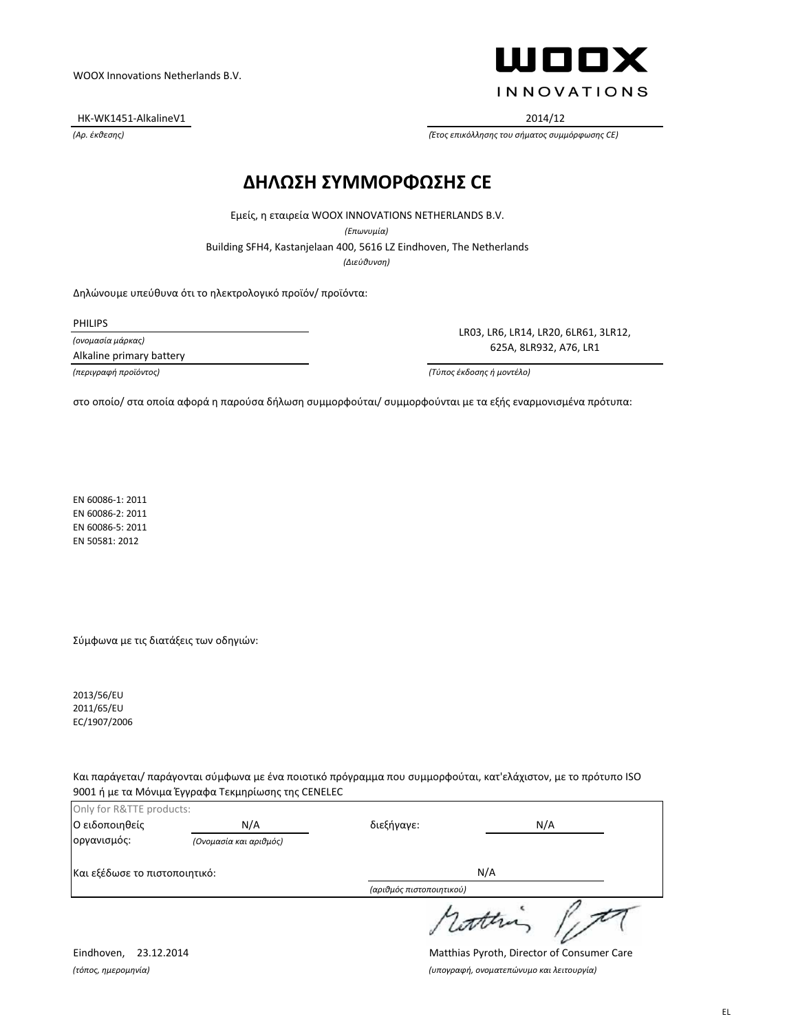HK-WK1451-AlkalineV1 2014/12

ШООХ **INNOVATIONS** 

*(Αρ. έκθεσης) (Έτος επικόλλησης του σήματος συμμόρφωσης CE)*

#### **ΔΗΛΩΣΗ ΣΥΜΜΟΡΦΩΣΗΣ CE**

Εμείς, η εταιρεία WOOX INNOVATIONS NETHERLANDS B.V.

*(Επωνυμία)*

Building SFH4, Kastanjelaan 400, 5616 LZ Eindhoven, The Netherlands

*(Διεύθυνση)*

Δηλώνουμε υπεύθυνα ότι το ηλεκτρολογικό προϊόν/ προϊόντα:

PHILIPS

*(ονομασία μάρκας)*

Alkaline primary battery

LR03, LR6, LR14, LR20, 6LR61, 3LR12, 625A, 8LR932, A76, LR1

*(περιγραφή προϊόντος) (Τύπος έκδοσης ή μοντέλο)*

στο οποίο/ στα οποία αφορά η παρούσα δήλωση συμμορφούται/ συμμορφούνται με τα εξής εναρμονισμένα πρότυπα:

EN 60086-1: 2011 EN 60086-2: 2011 EN 60086-5: 2011 EN 50581: 2012

Σύμφωνα με τις διατάξεις των οδηγιών:

2013/56/EU 2011/65/EU EC/1907/2006

Και παράγεται/ παράγονται σύμφωνα με ένα ποιοτικό πρόγραμμα που συμμορφούται, κατ'ελάχιστον, με το πρότυπο ISO 9001 ή με τα Μόνιμα Έγγραφα Τεκμηρίωσης της CENELEC

| Only for R&TTE products:      |                        |                          |     |
|-------------------------------|------------------------|--------------------------|-----|
| Ο ειδοποιηθείς                | N/A                    | διεξήγαγε:               | N/A |
| οργανισμός:                   | (Ονομασία και αριθμός) |                          |     |
| Και εξέδωσε το πιστοποιητικό: |                        | N/A                      |     |
|                               |                        | (αριθμός πιστοποιητικού) |     |
|                               |                        |                          |     |

Eindhoven, 23.12.2014 Matthias Pyroth, Director of Consumer Care *(τόπος, ημερομηνία) (υπογραφή, ονοματεπώνυμο και λειτουργία)*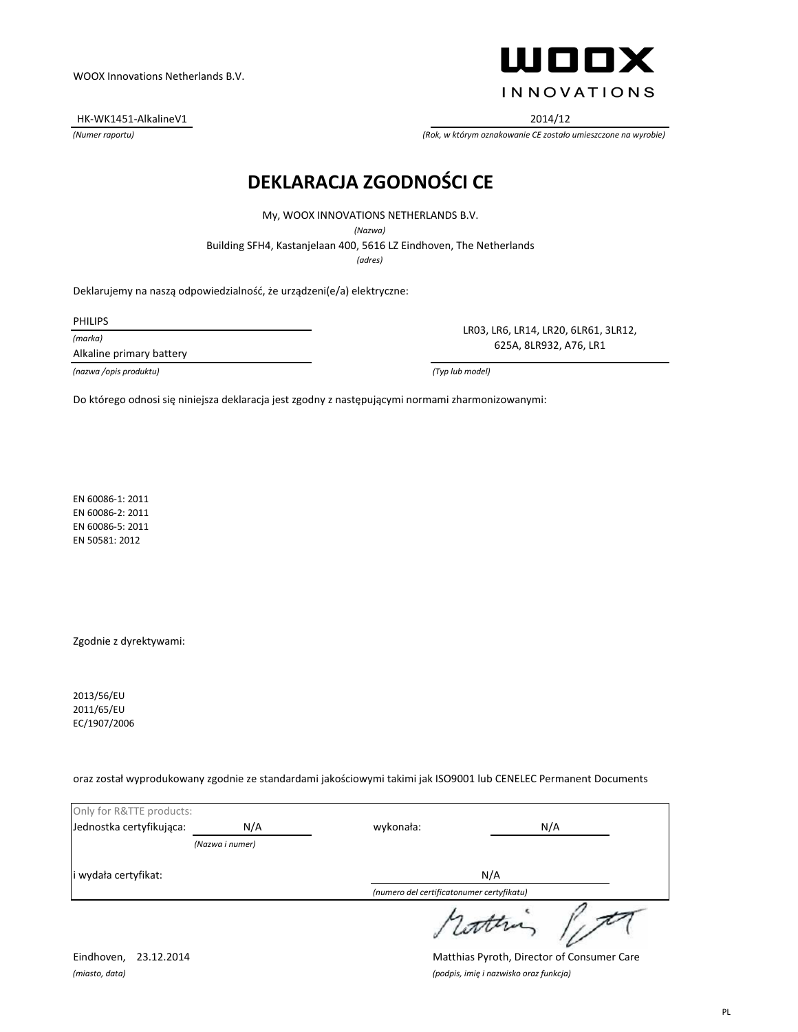Building SFH4, Kastanjelaan 400, 5616 LZ Eindhoven, The Netherlands My, WOOX INNOVATIONS NETHERLANDS B.V. *(Nazwa)*

**DEKLARACJA ZGODNOŚCI CE**

*(adres)*

Deklarujemy na naszą odpowiedzialność, że urządzeni(e/a) elektryczne:

PHILIPS

*(marka)*

Alkaline primary battery

*(nazwa /opis produktu) (Typ lub model)*

Do którego odnosi się niniejsza deklaracja jest zgodny z następującymi normami zharmonizowanymi:

EN 60086-1: 2011 EN 60086-2: 2011 EN 60086-5: 2011 EN 50581: 2012

Zgodnie z dyrektywami:

2013/56/EU 2011/65/EU EC/1907/2006

oraz został wyprodukowany zgodnie ze standardami jakościowymi takimi jak ISO9001 lub CENELEC Permanent Documents

| Only for R&TTE products: |                 |                                           |     |
|--------------------------|-----------------|-------------------------------------------|-----|
| Jednostka certyfikująca: | N/A             | wykonała:                                 | N/A |
|                          | (Nazwa i numer) |                                           |     |
| i wydała certyfikat:     |                 | N/A                                       |     |
|                          |                 | (numero del certificatonumer certyfikatu) |     |
|                          |                 |                                           |     |

Eindhoven, 23.12.2014 Matthias Pyroth, Director of Consumer Care *(miasto, data) (podpis, imię i nazwisko oraz funkcja)*



HK-WK1451-AlkalineV1 2014/12

LR03, LR6, LR14, LR20, 6LR61, 3LR12, 625A, 8LR932, A76, LR1

*(Numer raportu) (Rok, w którym oznakowanie CE zostało umieszczone na wyrobie)*

#### WOOX Innovations Netherlands B.V.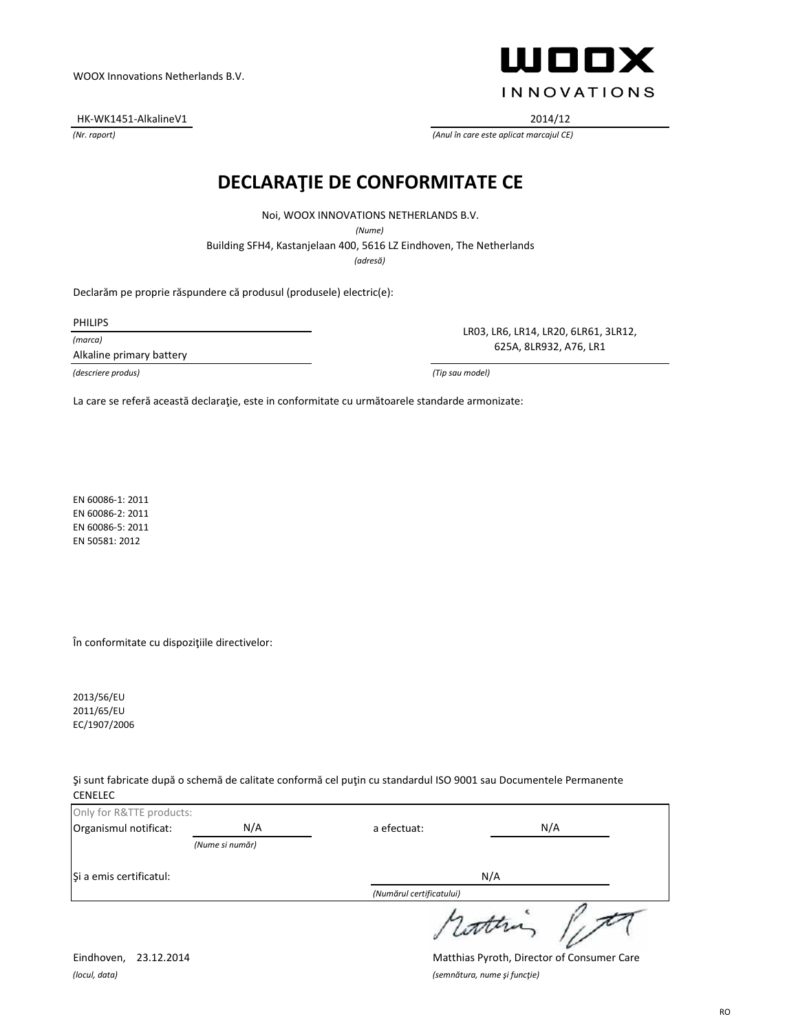Şi a emis certificatul:

*(Numărul certificatului)*

a efectuat:

attra

N/A

*(locul, data) (semnătura, nume şi funcţie)*

Only for R&TTE products:

Eindhoven, 23.12.2014 Matthias Pyroth, Director of Consumer Care

WOOX Innovations Netherlands B.V.

HK-WK1451-AlkalineV1 2014/12

# **DECLARAŢIE DE CONFORMITATE CE**

Noi, WOOX INNOVATIONS NETHERLANDS B.V.

*(Nume)*

Building SFH4, Kastanjelaan 400, 5616 LZ Eindhoven, The Netherlands

*(adresă)*

Declarăm pe proprie răspundere că produsul (produsele) electric(e):

PHILIPS

*(marca)* Alkaline primary battery

*(descriere produs) (Tip sau model)*

LR03, LR6, LR14, LR20, 6LR61, 3LR12, 625A, 8LR932, A76, LR1

La care se referă această declarație, este in conformitate cu următoarele standarde armonizate:

EN 60086-1: 2011 EN 60086-2: 2011 EN 60086-5: 2011 EN 50581: 2012

În conformitate cu dispoziţiile directivelor:

*(Nume si număr)*

2013/56/EU 2011/65/EU EC/1907/2006

Şi sunt fabricate după o schemă de calitate conformă cel puţin cu standardul ISO 9001 sau Documentele Permanente CENELEC

Organismul notificat:  $N/A$  a efectuat:  $N/A$ 

ШООХ

*(Nr. raport) (Anul în care este aplicat marcajul CE)*

**INNOVATIONS**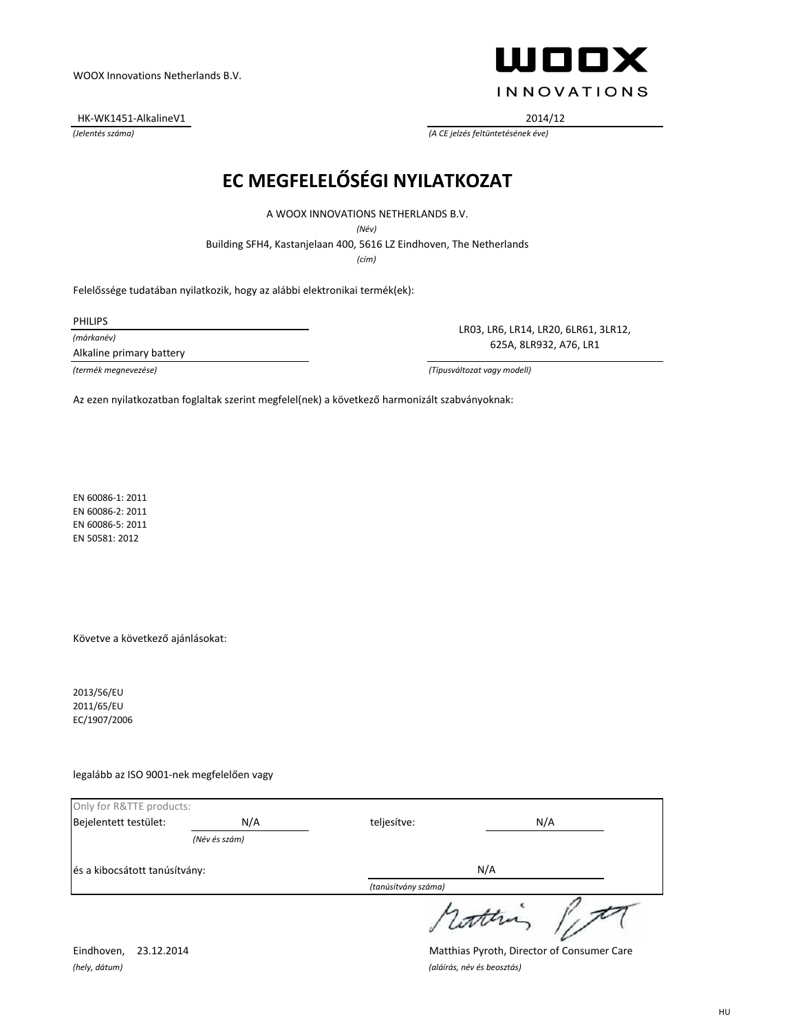HK-WK1451-AlkalineV1 2014/12



*(Jelentés száma) (A CE jelzés feltüntetésének éve)*

# **EC MEGFELELŐSÉGI NYILATKOZAT**

A WOOX INNOVATIONS NETHERLANDS B.V.

*(Név)*

Building SFH4, Kastanjelaan 400, 5616 LZ Eindhoven, The Netherlands

*(cím)*

Felelőssége tudatában nyilatkozik, hogy az alábbi elektronikai termék(ek):

PHILIPS

*(márkanév)*

Alkaline primary battery

LR03, LR6, LR14, LR20, 6LR61, 3LR12, 625A, 8LR932, A76, LR1

*(termék megnevezése) (Típusváltozat vagy modell)*

Az ezen nyilatkozatban foglaltak szerint megfelel(nek) a következő harmonizált szabványoknak:

EN 60086-1: 2011 EN 60086-2: 2011 EN 60086-5: 2011 EN 50581: 2012

Követve a következő ajánlásokat:

2013/56/EU 2011/65/EU EC/1907/2006

legalább az ISO 9001-nek megfelelően vagy

| Only for R&TTE products:      |               |                     |  |
|-------------------------------|---------------|---------------------|--|
| Bejelentett testület:         | N/A           | N/A<br>teljesítve:  |  |
|                               | (Név és szám) |                     |  |
| és a kibocsátott tanúsítvány: |               | N/A                 |  |
|                               |               | (tanúsítvány száma) |  |
|                               |               | rother              |  |

*(hely, dátum) (aláírás, név és beosztás)*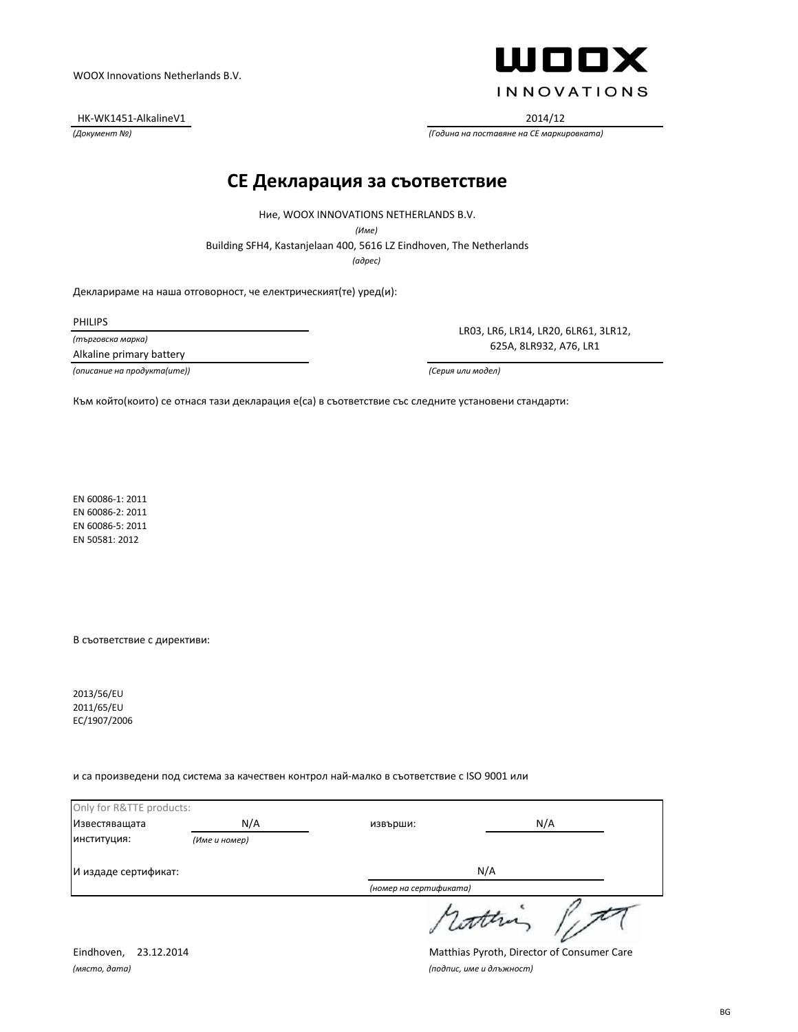HK-WK1451-AlkalineV1 2014/12



*(Документ №) (Година на поставяне на CE маркировката)*

#### **CE Декларация за съответствие**

Ние, WOOX INNOVATIONS NETHERLANDS B.V.

*(Име)*

Building SFH4, Kastanjelaan 400, 5616 LZ Eindhoven, The Netherlands

*(адрес)*

Декларираме на наша отговорност, че електрическият(те) уред(и):

PHILIPS

*(търговска марка)*

Alkaline primary battery

*(описание на продукта(ите)) (Серия или модел)*

LR03, LR6, LR14, LR20, 6LR61, 3LR12, 625A, 8LR932, A76, LR1

Към който(които) се отнася тази декларация е(са) в съответствие със следните установени стандарти:

EN 60086-1: 2011 EN 60086-2: 2011 EN 60086-5: 2011 EN 50581: 2012

В съответствие с директиви:

2013/56/EU 2011/65/EU EC/1907/2006

и са произведени под система за качествен контрол най-малко в съответствие с ISO 9001 или

| Only for R&TTE products: |               |                        |     |
|--------------------------|---------------|------------------------|-----|
| Известяващата            | N/A           | извърши:               | N/A |
| ИНСТИТУЦИЯ:              | (Име и номер) |                        |     |
| И издаде сертификат:     |               | N/A                    |     |
|                          |               | (номер на сертификата) |     |
|                          |               | 1 cottra               |     |

*(място, дата) (подпис, име и длъжност)*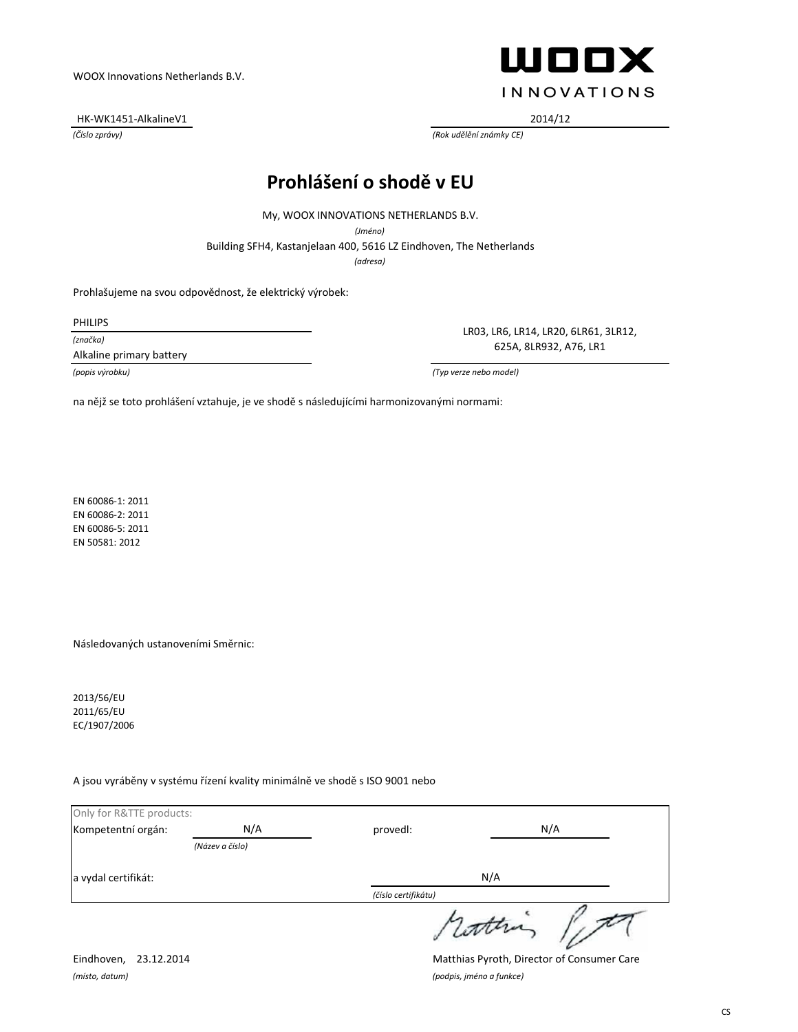HK-WK1451-AlkalineV1 2014/12



*(Číslo zprávy) (Rok udělění známky CE)*

# **Prohlášení o shodě v EU**

My, WOOX INNOVATIONS NETHERLANDS B.V.

*(Jméno)*

Building SFH4, Kastanjelaan 400, 5616 LZ Eindhoven, The Netherlands

*(adresa)*

Prohlašujeme na svou odpovědnost, že elektrický výrobek:

PHILIPS

*(značka)*

Alkaline primary battery

LR03, LR6, LR14, LR20, 6LR61, 3LR12, 625A, 8LR932, A76, LR1

*(popis výrobku) (Typ verze nebo model)*

na nějž se toto prohlášení vztahuje, je ve shodě s následujícími harmonizovanými normami:

EN 60086-1: 2011 EN 60086-2: 2011 EN 60086-5: 2011 EN 50581: 2012

Následovaných ustanoveními Směrnic:

2013/56/EU 2011/65/EU EC/1907/2006

A jsou vyráběny v systému řízení kvality minimálně ve shodě s ISO 9001 nebo

| Only for R&TTE products: |                 |                     |       |
|--------------------------|-----------------|---------------------|-------|
| Kompetentní orgán:       | N/A             | provedl:            | N/A   |
|                          | (Název a číslo) |                     |       |
| a vydal certifikát:      |                 | N/A                 |       |
|                          |                 | (číslo certifikátu) |       |
|                          |                 |                     | datha |

*(místo, datum) (podpis, jméno a funkce)*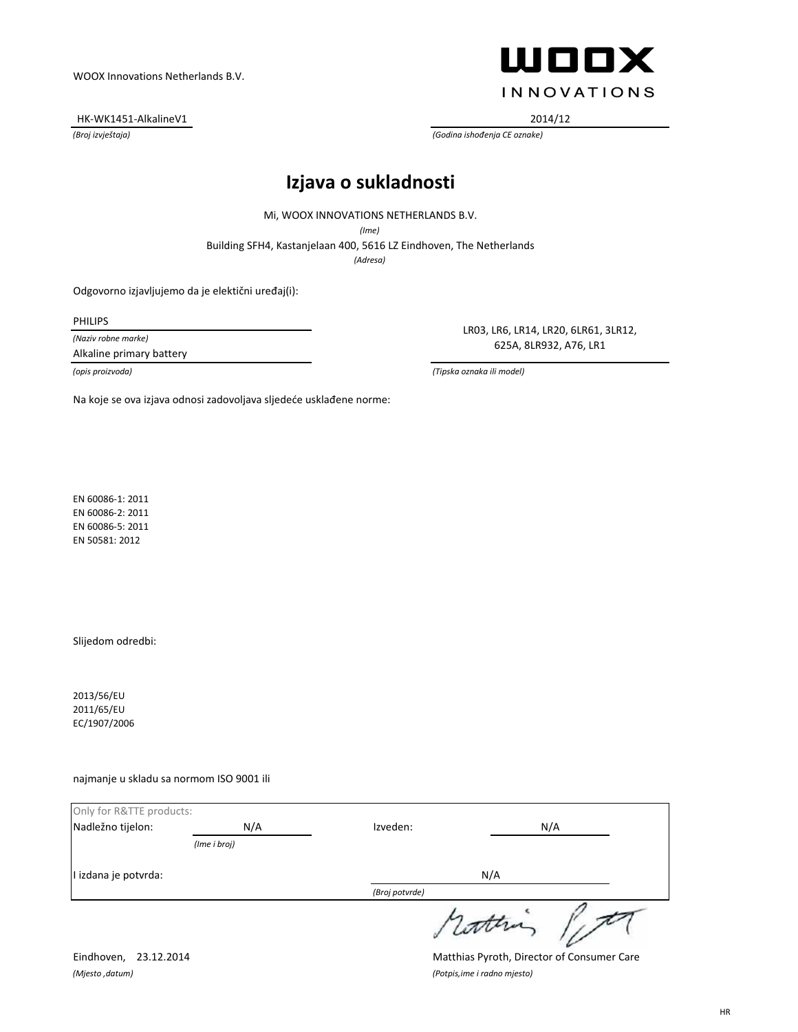HK-WK1451-AlkalineV1 2014/12



LR03, LR6, LR14, LR20, 6LR61, 3LR12, 625A, 8LR932, A76, LR1

*(Broj izvještaja) (Godina ishođenja CE oznake)*

# **Izjava o sukladnosti**

Mi, WOOX INNOVATIONS NETHERLANDS B.V.

*(Ime)*

Building SFH4, Kastanjelaan 400, 5616 LZ Eindhoven, The Netherlands

*(Adresa)*

Odgovorno izjavljujemo da je elektični uređaj(i):

PHILIPS

*(Naziv robne marke)*

Alkaline primary battery

*(opis proizvoda) (Tipska oznaka ili model)*

Na koje se ova izjava odnosi zadovoljava sljedeće usklađene norme:

EN 60086-1: 2011 EN 60086-2: 2011 EN 60086-5: 2011 EN 50581: 2012

Slijedom odredbi:

2013/56/EU 2011/65/EU EC/1907/2006

najmanje u skladu sa normom ISO 9001 ili

| Only for R&TTE products: |              |                |       |
|--------------------------|--------------|----------------|-------|
| Nadležno tijelon:        | N/A          | Izveden:       | N/A   |
|                          | (Ime i broj) |                |       |
| I izdana je potvrda:     |              |                | N/A   |
|                          |              | (Broj potvrde) |       |
|                          |              |                | 1 com |

*(Mjesto ,datum) (Potpis,ime i radno mjesto)*

Eindhoven, 23.12.2014 Matthias Pyroth, Director of Consumer Care

HR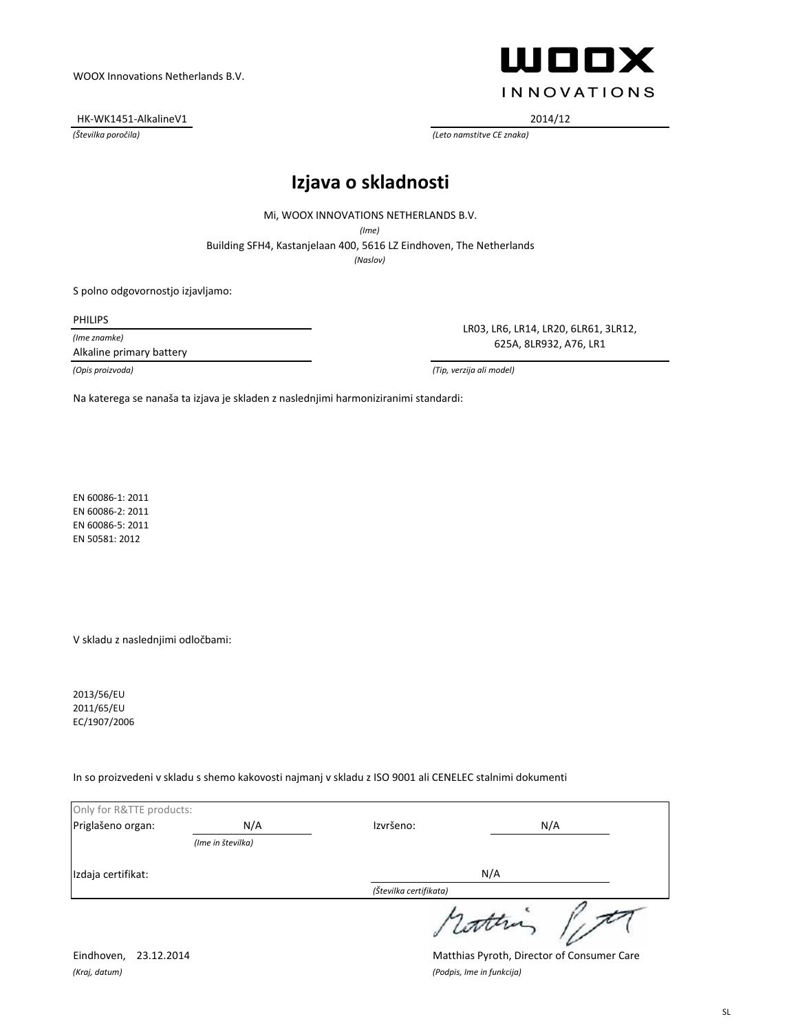HK-WK1451-AlkalineV1 2014/12



*(Številka poročila) (Leto namstitve CE znaka)*

# **Izjava o skladnosti**

Mi, WOOX INNOVATIONS NETHERLANDS B.V.

*(Ime)*

Building SFH4, Kastanjelaan 400, 5616 LZ Eindhoven, The Netherlands

*(Naslov)*

S polno odgovornostjo izjavljamo:

PHILIPS

*(Ime znamke)*

Alkaline primary battery

LR03, LR6, LR14, LR20, 6LR61, 3LR12, 625A, 8LR932, A76, LR1

*(Opis proizvoda) (Tip, verzija ali model)*

Na katerega se nanaša ta izjava je skladen z naslednjimi harmoniziranimi standardi:

EN 60086-1: 2011 EN 60086-2: 2011 EN 60086-5: 2011 EN 50581: 2012

V skladu z naslednjimi odločbami:

2013/56/EU 2011/65/EU EC/1907/2006

In so proizvedeni v skladu s shemo kakovosti najmanj v skladu z ISO 9001 ali CENELEC stalnimi dokumenti

| Only for R&TTE products: |                   |                        |          |
|--------------------------|-------------------|------------------------|----------|
| Priglašeno organ:        | N/A               | Izvršeno:              | N/A      |
|                          | (Ime in številka) |                        |          |
| Izdaja certifikat:       |                   |                        | N/A      |
|                          |                   | (Številka certifikata) |          |
|                          |                   |                        | 1 latter |

*(Kraj, datum) (Podpis, Ime in funkcija)*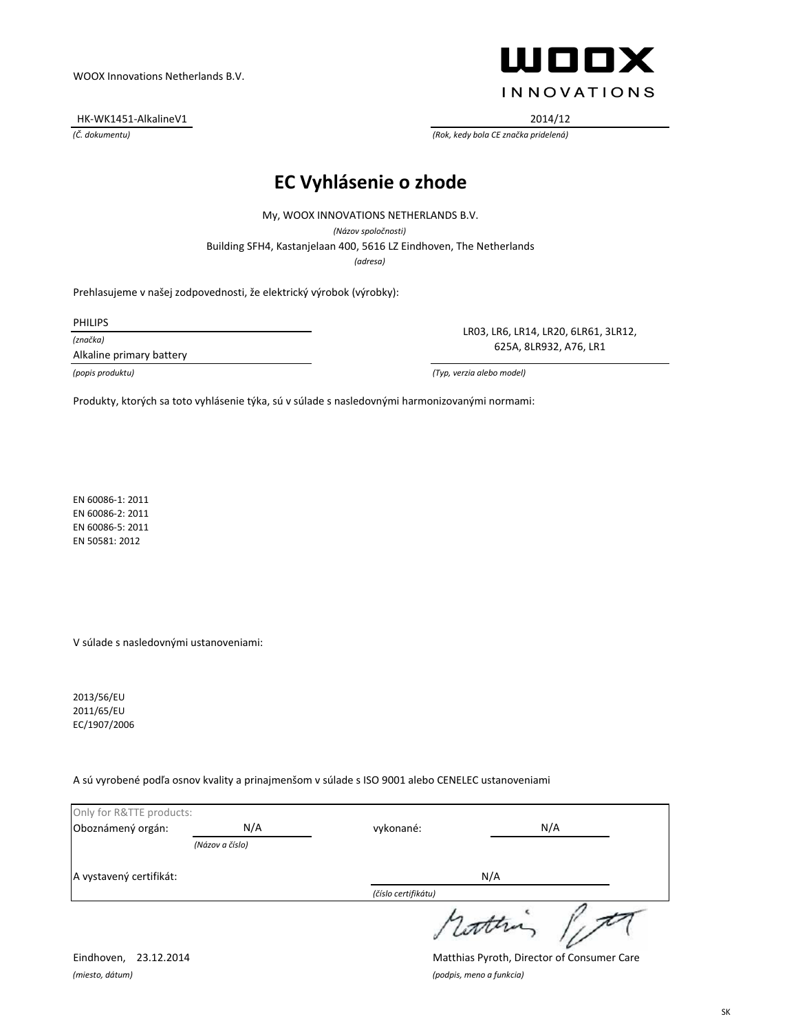HK-WK1451-AlkalineV1 2014/12



*(Č. dokumentu) (Rok, kedy bola CE značka pridelená)*

# **EC Vyhlásenie o zhode**

Building SFH4, Kastanjelaan 400, 5616 LZ Eindhoven, The Netherlands My, WOOX INNOVATIONS NETHERLANDS B.V. *(Názov spoločnosti) (adresa)*

Prehlasujeme v našej zodpovednosti, že elektrický výrobok (výrobky):

PHILIPS

*(značka)*

Alkaline primary battery

LR03, LR6, LR14, LR20, 6LR61, 3LR12, 625A, 8LR932, A76, LR1

*(popis produktu) (Typ, verzia alebo model)*

Produkty, ktorých sa toto vyhlásenie týka, sú v súlade s nasledovnými harmonizovanými normami:

EN 60086-1: 2011 EN 60086-2: 2011 EN 60086-5: 2011 EN 50581: 2012

V súlade s nasledovnými ustanoveniami:

2013/56/EU 2011/65/EU EC/1907/2006

A sú vyrobené podľa osnov kvality a prinajmenšom v súlade s ISO 9001 alebo CENELEC ustanoveniami

| Only for R&TTE products: |                 |                     |           |
|--------------------------|-----------------|---------------------|-----------|
| Oboznámený orgán:        | N/A             | vykonané:           | N/A       |
|                          | (Názov a číslo) |                     |           |
| A vystavený certifikát:  |                 | N/A                 |           |
|                          |                 | (číslo certifikátu) |           |
|                          |                 |                     | 1 lattera |

*(miesto, dátum) (podpis, meno a funkcia)*

Eindhoven, 23.12.2014 Matthias Pyroth, Director of Consumer Care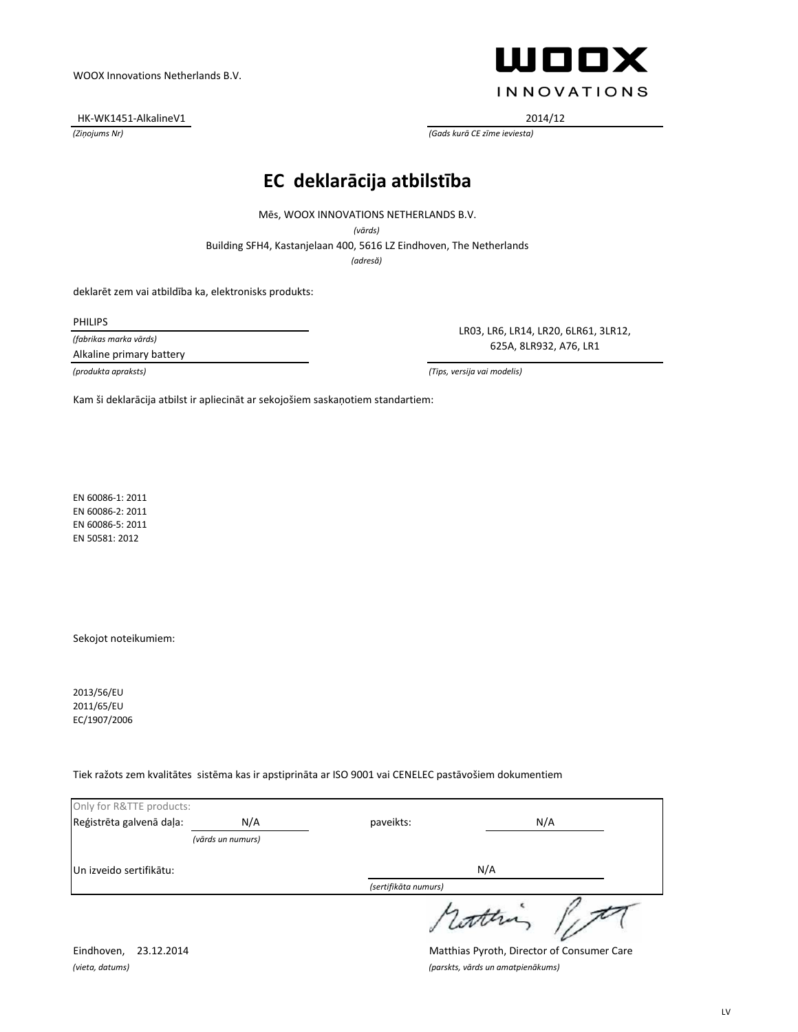HK-WK1451-AlkalineV1 2014/12



*(Ziņojums Nr) (Gads kurā CE zīme ieviesta)*

### **EC deklarācija atbilstība**

Mēs, WOOX INNOVATIONS NETHERLANDS B.V.

*(vārds)*

Building SFH4, Kastanjelaan 400, 5616 LZ Eindhoven, The Netherlands

*(adresă)*

deklarēt zem vai atbildība ka, elektronisks produkts:

PHILIPS

*(fabrikas marka vārds)*

Alkaline primary battery

LR03, LR6, LR14, LR20, 6LR61, 3LR12, 625A, 8LR932, A76, LR1

*(produkta apraksts) (Tips, versija vai modelis)*

Kam ši deklarācija atbilst ir apliecināt ar sekojošiem saskaņotiem standartiem:

EN 60086-1: 2011 EN 60086-2: 2011 EN 60086-5: 2011 EN 50581: 2012

Sekojot noteikumiem:

2013/56/EU 2011/65/EU EC/1907/2006

Tiek ražots zem kvalitātes sistēma kas ir apstiprināta ar ISO 9001 vai CENELEC pastāvošiem dokumentiem

| Only for R&TTE products: |                   |                      |        |
|--------------------------|-------------------|----------------------|--------|
| Reģistrēta galvenā daļa: | N/A               | paveikts:            | N/A    |
|                          | (vārds un numurs) |                      |        |
| Un izveido sertifikātu:  |                   |                      | N/A    |
|                          |                   | (sertifikāta numurs) |        |
|                          |                   |                      | retten |

Eindhoven, 23.12.2014 Matthias Pyroth, Director of Consumer Care *(vieta, datums) (parskts, vārds un amatpienākums)*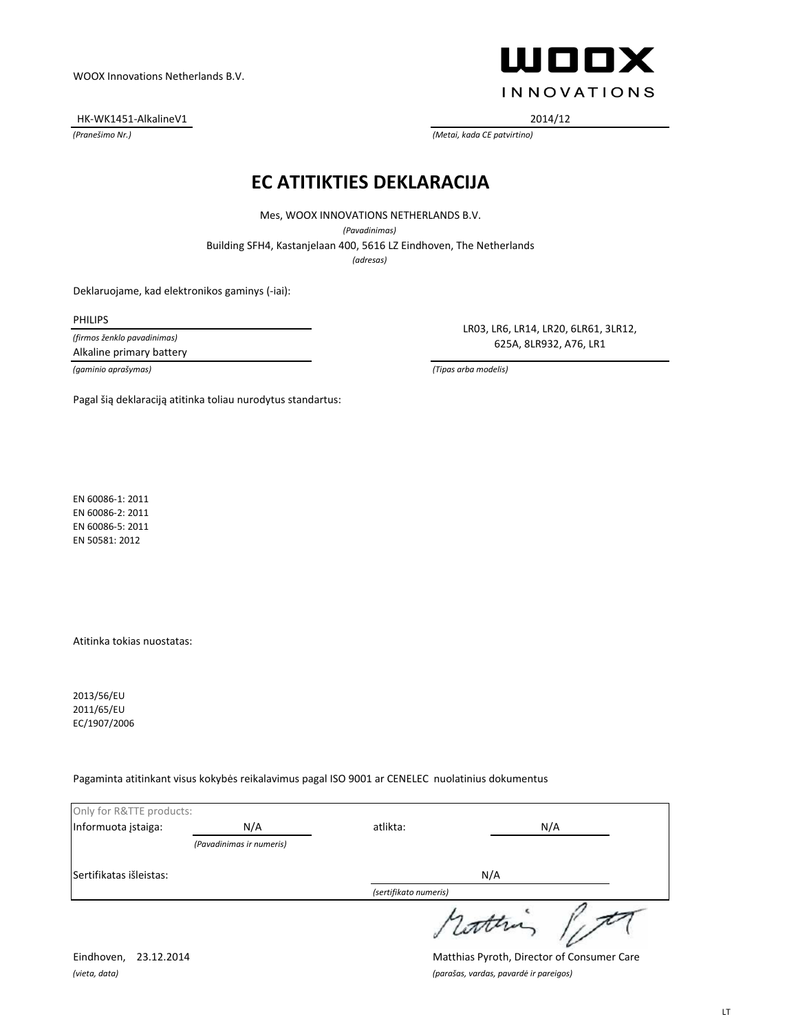HK-WK1451-AlkalineV1 2014/12



*(Pranešimo Nr.) (Metai, kada CE patvirtino)*

#### **EC ATITIKTIES DEKLARACIJA**

Building SFH4, Kastanjelaan 400, 5616 LZ Eindhoven, The Netherlands Mes, WOOX INNOVATIONS NETHERLANDS B.V. *(Pavadinimas) (adresas)*

Deklaruojame, kad elektronikos gaminys (-iai):

Pagal šią deklaraciją atitinka toliau nurodytus standartus:

PHILIPS

*(firmos ženklo pavadinimas)* Alkaline primary battery

LR03, LR6, LR14, LR20, 6LR61, 3LR12, 625A, 8LR932, A76, LR1

*(gaminio aprašymas) (Tipas arba modelis)*

EN 60086-1: 2011 EN 60086-2: 2011 EN 60086-5: 2011 EN 50581: 2012

Atitinka tokias nuostatas:

2013/56/EU 2011/65/EU EC/1907/2006

Pagaminta atitinkant visus kokybės reikalavimus pagal ISO 9001 ar CENELEC nuolatinius dokumentus

| Only for R&TTE products: |                          |                       |        |
|--------------------------|--------------------------|-----------------------|--------|
| Informuota įstaiga:      | N/A                      | atlikta:              | N/A    |
|                          | (Pavadinimas ir numeris) |                       |        |
| Sertifikatas išleistas:  |                          |                       | N/A    |
|                          |                          | (sertifikato numeris) |        |
|                          |                          |                       | cotten |

Eindhoven, 23.12.2014 Matthias Pyroth, Director of Consumer Care *(vieta, data) (parašas, vardas, pavardė ir pareigos)*